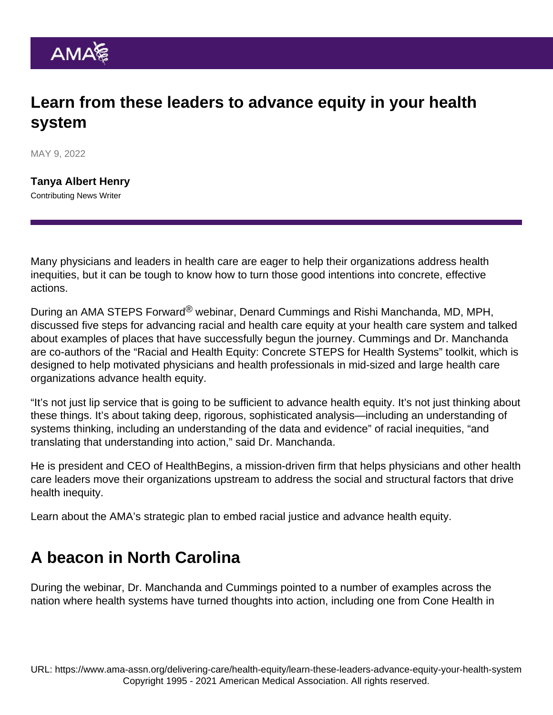## Learn from these leaders to advance equity in your health system

MAY 9, 2022

[Tanya Albert Henry](https://www.ama-assn.org/news-leadership-viewpoints/authors-news-leadership-viewpoints/tanya-albert-henry) Contributing News Writer

Many physicians and leaders in health care are eager to help their organizations address health inequities, but it can be tough to know how to turn those good intentions into concrete, effective actions.

During an AMA STEPS Forward® webinar, Denard Cummings and Rishi Manchanda, MD, MPH, discussed five steps for advancing racial and health care equity at your health care system and talked about examples of places that have successfully begun the journey. Cummings and Dr. Manchanda are co-authors of the ["Racial and Health Equity: Concrete STEPS for Health Systems](https://edhub.ama-assn.org/steps-forward/module/2788862)" toolkit, which is designed to help motivated physicians and health professionals in mid-sized and large health care organizations advance health equity.

"It's not just lip service that is going to be sufficient to advance health equity. It's not just thinking about these things. It's about taking deep, rigorous, sophisticated analysis—including an understanding of systems thinking, including an understanding of the data and evidence" of racial inequities, "and translating that understanding into action," said Dr. Manchanda.

He is president and CEO of HealthBegins, a mission-driven firm that helps physicians and other health care leaders move their organizations upstream to address the social and structural factors that drive health inequity.

Learn about the [AMA's strategic plan to embed racial justice and advance health equity.](https://www.ama-assn.org/about/leadership/ama-s-strategic-plan-embed-racial-justice-and-advance-health-equity)

## A beacon in North Carolina

During the webinar, Dr. Manchanda and Cummings pointed to a number of examples across the nation where health systems have turned thoughts into action, including one from Cone Health in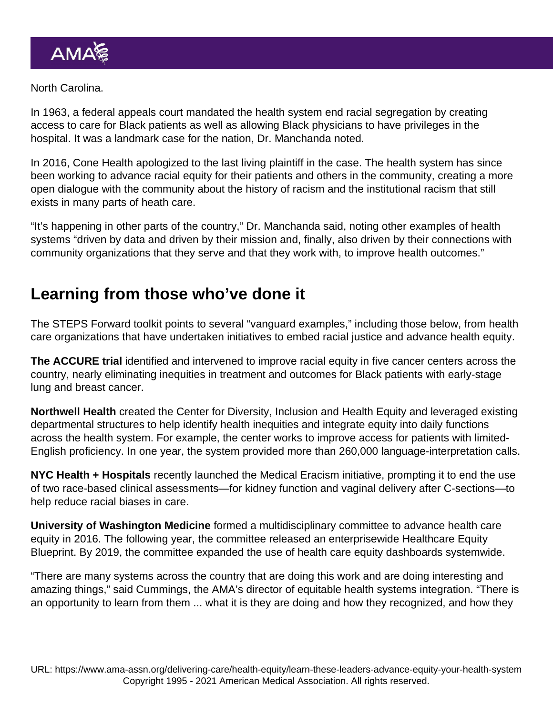## North Carolina.

In 1963, a federal appeals court mandated the health system end racial segregation by creating access to care for Black patients as well as allowing Black physicians to have privileges in the hospital. It was a landmark case for the nation, Dr. Manchanda noted.

In 2016, Cone Health apologized to the last living plaintiff in the case. The health system has since been working to advance racial equity for their patients and others in the community, creating a [more](https://healthbegins.org/cone-health-greensboro-housing/) [open dialogue](https://healthbegins.org/cone-health-greensboro-housing/) with the community about the history of racism and the institutional racism that still exists in many parts of heath care.

"It's happening in other parts of the country," Dr. Manchanda said, noting other examples of health systems "driven by data and driven by their mission and, finally, also driven by their connections with community organizations that they serve and that they work with, to improve health outcomes."

## Learning from those who've done it

The STEPS Forward toolkit points to several "vanguard examples," including those below, from health care organizations that have undertaken initiatives to embed racial justice and advance health equity.

The [ACCURE trial](https://ascopost.com/News/60073) identified and intervened to improve racial equity in five cancer centers across the country, nearly eliminating inequities in treatment and outcomes for Black patients with early-stage lung and breast cancer.

Northwell Health created the [Center for Diversity, Inclusion and Health Equity](https://www.northwell.edu/sites/northwell.edu/files/2018-11/Center-for-Diversity-Inclusion-and-Health-Equity-Report.pdf) and leveraged existing departmental structures to help identify health inequities and integrate equity into daily functions across the health system. For example, the center works to improve access for patients with limited-English proficiency. In one year, the system provided more than 260,000 language-interpretation calls.

NYC Health + Hospitals recently launched the [Medical Eracism](https://medcitynews.com/2021/05/nyc-health-hospitals-drops-use-of-two-race-based-clinical-assessments/) initiative, prompting it to end the use of two race-based clinical assessments—for kidney function and vaginal delivery after C-sections—to help reduce racial biases in care.

University of Washington Medicine formed a multidisciplinary committee to advance health care equity in 2016. The following year, the committee released an enterprisewide [Healthcare Equity](https://depts.washington.edu/uwmedptn/strategies-programs/healthcare-equity/) [Blueprint](https://depts.washington.edu/uwmedptn/strategies-programs/healthcare-equity/). By 2019, the committee expanded the use of health care equity dashboards systemwide.

"There are many systems across the country that are doing this work and are doing interesting and amazing things," said Cummings, the AMA's director of equitable health systems integration. "There is an opportunity to learn from them ... what it is they are doing and how they recognized, and how they